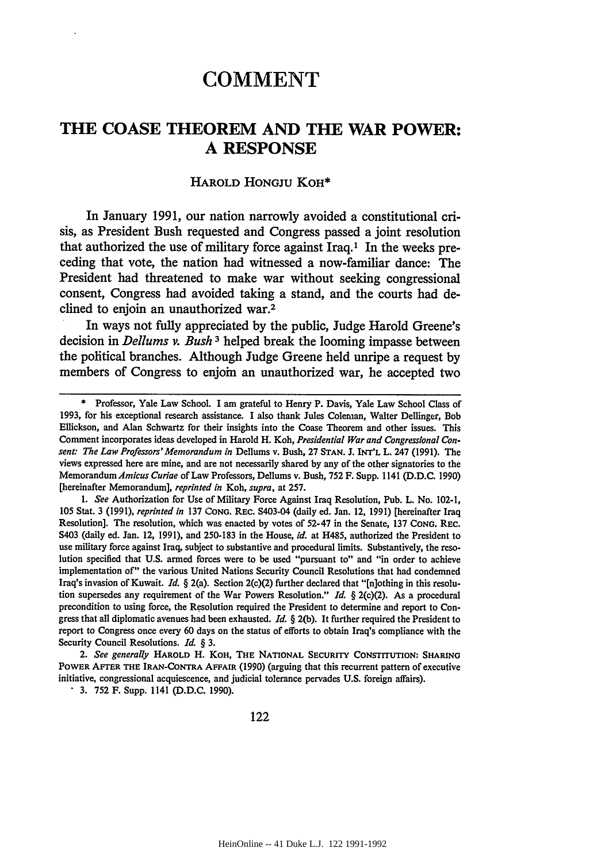## **COMMENT**

## **THE COASE THEOREM AND THE WAR POWER: A RESPONSE**

## HAROLD HONGJU KOH\*

In January 1991, our nation narrowly avoided a constitutional crisis, as President Bush requested and Congress passed a joint resolution that authorized the use of military force against Iraq.1 In the weeks preceding that vote, the nation had witnessed a now-familiar dance: The President had threatened to make war without seeking congressional consent, Congress had avoided taking a stand, and the courts had declined to enjoin an unauthorized war.<sup>2</sup>

In ways not fully appreciated by the public, Judge Harold Greene's decision in *Dellums v. Bush <sup>3</sup>*helped break the looming impasse between the political branches. Although Judge Greene held unripe a request by members of Congress to enjoin an unauthorized war, he accepted two

*2. See generally* **HAROLD** H. KOH, **THE NATIONAL SECURITY CONSTITUTION: SHARING POWER** AFTER **THE** IRAN-CONTRA AFFAIR (1990) (arguing that this recurrent pattern of executive initiative, congressional acquiescence, and judicial tolerance pervades **U.S.** foreign affairs). " **3. 752** F. Supp. 1141 **(D.D.C.** 1990).

<sup>\*</sup> Professor, Yale Law School. I am grateful to Henry P. Davis, Yale Law School Class of 1993, for his exceptional research assistance. I also thank Jules Coleman, Walter Dellinger, Bob Ellickson, and Alan Schwartz for their insights into the Coase Theorem and other issues. This Comment incorporates ideas developed in Harold H. Koh, *Presidential War and Congressional Consent: The Law Professors'Memorandum in* Dellums v. Bush, 27 **STAN. J.** INT'L L. 247 (1991). **The** views expressed here are mine, and are not necessarily shared by any of the other signatories to the *Memorandum Amicus Curiae* of Law Professors, Dellums v. Bush, 752 F. Supp. 1141 (D.D.C. 1990) [hereinafter Memorandum], *reprinted in* Koh, *supra,* at 257.

*<sup>1.</sup> See* Authorization for Use of Military Force Against Iraq Resolution, Pub. L. No. 102-1, 105 Stat. 3 (1991), *reprinted in* 137 **CONG.** REc. S403-04 (daily ed. Jan. 12, 1991) [hereinafter Iraq Resolution]. The resolution, which was enacted by votes of 52-47 in the Senate, **137** CONG. REC. S403 (daily ed. Jan. 12, 1991), and 250-183 in the House, *id.* at H485, authorized the President to use military force against Iraq, subject to substantive and procedural limits. Substantively, the resolution specified that U.S. armed forces were to be used "pursuant to" and "in order to achieve implementation of" the various United Nations Security Council Resolutions that had condemned Iraq's invasion of Kuwait. *Id.* § 2(a). Section 2(c)(2) further declared that "[n]othing in this resolution supersedes any requirement of the War Powers Resolution." *Id.* § 2(c)(2). As a procedural precondition to using force, the Resolution required the President to determine and report to Congress that all diplomatic avenues had been exhausted. *Id.* § 2(b). It further required the President to report to Congress once every 60 days on the status of efforts to obtain Iraq's compliance with the Security Council Resolutions. *Id. §* 3.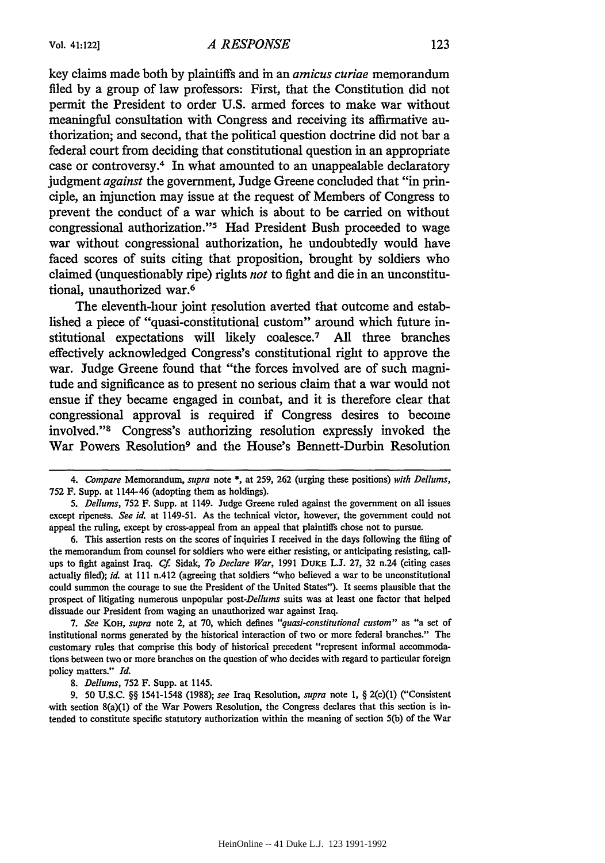key claims made both **by** plaintiffs and in an *amicus curiae* memorandum filed **by** a group of law professors: First, that the Constitution did not permit the President to order **U.S.** armed forces to make war without meaningful consultation with Congress and receiving its affirmative authorization; and second, that the political question doctrine did not bar a federal court from deciding that constitutional question in an appropriate case or controversy.4 In what amounted to an unappealable declaratory judgment *against* the government, Judge Greene concluded that "in principle, an injunction may issue at the request of Members of Congress to prevent the conduct of a war which is about to be carried on without congressional authorization."<sup>5</sup> Had President Bush proceeded to wage war without congressional authorization, he undoubtedly would have faced scores of suits citing that proposition, brought **by** soldiers who claimed (unquestionably ripe) rights *not* to fight and die in an unconstitutional, unauthorized war.<sup>6</sup>

The eleventh-hour joint resolution averted that outcome and established a piece of "quasi-constitutional custom" around which future institutional expectations will likely coalesce.<sup>7</sup> All three branches effectively acknowledged Congress's constitutional right to approve the war. Judge Greene found that "the forces involved are of such magnitude and significance as to present no serious claim that a war would not ensue if they became engaged in combat, and it is therefore clear that congressional approval is required if Congress desires to become involved."8 Congress's authorizing resolution expressly invoked the War Powers Resolution<sup>9</sup> and the House's Bennett-Durbin Resolution

9. 50 U.S.C. §§ 1541-1548 (1988); *see* Iraq Resolution, *supra* note 1, § 2(c)(1) ("Consistent with section 8(a)(1) of the War Powers Resolution, the Congress declares that this section is intended to constitute specific statutory authorization within the meaning of section 5(b) of the War

*<sup>4.</sup> Compare* Memorandum, *supra* note **\*,** at 259, 262 (urging these positions) *with Dellums,* 752 F. Supp. at 1144-46 (adopting them as holdings).

*<sup>5.</sup> Dellums,* 752 F. Supp. at 1149. Judge Greene ruled against the government on all issues except ripeness. *See id.* at 1149-51. As the technical victor, however, the government could not appeal the ruling, except by cross-appeal from an appeal that plaintiffs chose not to pursue.

<sup>6.</sup> This assertion rests on the scores of inquiries I received in the days following the filing of the memorandum from counsel for soldiers who were either resisting, or anticipating resisting, callups to fight against Iraq. *Cf* Sidak, *To Declare War,* 1991 **DUKE** L.J. 27, 32 n.24 (citing cases actually filed); id. at 111 n.412 (agreeing that soldiers "who believed a war to be unconstitutional could summon the courage to sue the President of the United States"). It seems plausible that the prospect of litigating numerous unpopular *post-Dellums* suits was at least one factor that helped dissuade our President from waging an unauthorized war against Iraq.

*<sup>7.</sup> See* KOH, *supra* note 2, at 70, which defines *"quasi-constitutional custom"* as "a set of institutional norms generated **by** the historical interaction of two or more federal branches." The customary rules that comprise this body of historical precedent "represent informal accommodations between two or more branches on the question of who decides with regard to particular foreign policy matters." *Id.*

*<sup>8.</sup> Dellums,* 752 F. Supp. at 1145.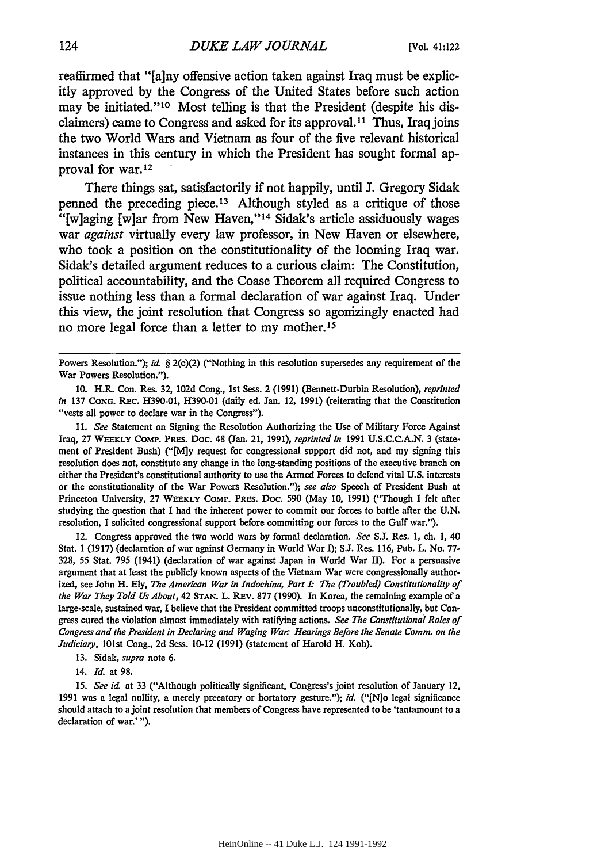reaffirmed that "[a]ny offensive action taken against Iraq must be explicitly approved **by** the Congress of the United States before such action may be initiated."<sup>10</sup> Most telling is that the President (despite his disclaimers) came to Congress and asked for its approval.<sup>11</sup> Thus, Iraq joins the two World Wars and Vietnam as four of the five relevant historical instances in this century in which the President has sought formal approval for war. **12**

There things sat, satisfactorily if not happily, until **J.** Gregory Sidak penned the preceding piece. 13 Although styled as a critique of those "[w]aging [w]ar from New Haven,"<sup>14</sup> Sidak's article assiduously wages war *against* virtually every law professor, in New Haven or elsewhere, who took a position on the constitutionality of the looming Iraq war. Sidak's detailed argument reduces to a curious claim: The Constitution, political accountability, and the Coase Theorem all required Congress to issue nothing less than a formal declaration of war against Iraq. Under this view, the joint resolution that Congress so agonizingly enacted had no more legal force than a letter to my mother. **<sup>15</sup>**

11. *See* Statement on Signing the Resolution Authorizing the Use of Military Force Against Iraq, 27 **WEEKLY** COMP. PREs. Doc. 48 (Jan. 21, 1991), *reprinted in* 1991 U.S.C.C.A.N. 3 (statement of President Bush) ("[M]y request for congressional support did not, and my signing this resolution does not, constitute any change in the long-standing positions of the executive branch on either the President's constitutional authority to use the Armed Forces to defend vital U.S. interests or the constitutionality of the War Powers Resolution."); *see also* Speech of President Bush at Princeton University, 27 WEEKLY COMP. PRES. Doc. 590 (May 10, 1991) ("Though I felt after studying the question that I had the inherent power to commit our forces to battle after the U.N. resolution, I solicited congressional support before committing our forces to the Gulf war.").

12. Congress approved the two world wars by formal declaration. *See* S.J. Res. 1, ch. 1, 40 Stat. **1** (1917) (declaration of war against Germany in World War I); S.J. Res. 116, Pub. L. No. **77-** 328, 55 Stat. 795 (1941) (declaration of war against Japan in World War II). For a persuasive argument that at least the publicly known aspects of the Vietnam War were congressionally authorized, see John H. Ely, *The American War in Indochina, Part* **1** *The (Troubled) Constitutionality of the War They Told Us About,* 42 **STAN.** L. REV. 877 (1990). In Korea, the remaining example of a large-scale, sustained war, I believe that the President committed troops unconstitutionally, but Congress cured the violation almost immediately with ratifying actions. *See The Constitutional Roles of Congress and the President in Declaring and Waging War: Hearings Before the Senate Comm. on the Judiciary,* 101st Cong., 2d Sess. 10-12 (1991) (statement of Harold H. Koh).

13. Sidak, *supra* note 6.

14. *Id.* at 98.

15. *See id.* at 33 ("Although politically significant, Congress's joint resolution of January 12, 1991 was a legal nullity, a merely precatory or hortatory gesture."); *id.* ("[N]o legal significance should attach to ajoint resolution that members of Congress have represented to be 'tantamount to a declaration of war.' ").

Powers Resolution."); id. § 2(c)(2) ("Nothing in this resolution supersedes any requirement of the War Powers Resolution.").

<sup>10.</sup> H.R. Con. Res. 32, 102d Cong., 1st Sess. 2 (1991) (Bennett-Durbin Resolution), *reprinted in* 137 **CONG.** REc. H390-01, H390-01 (daily ed. Jan. 12, 1991) (reiterating that the Constitution "vests all power to declare war in the Congress").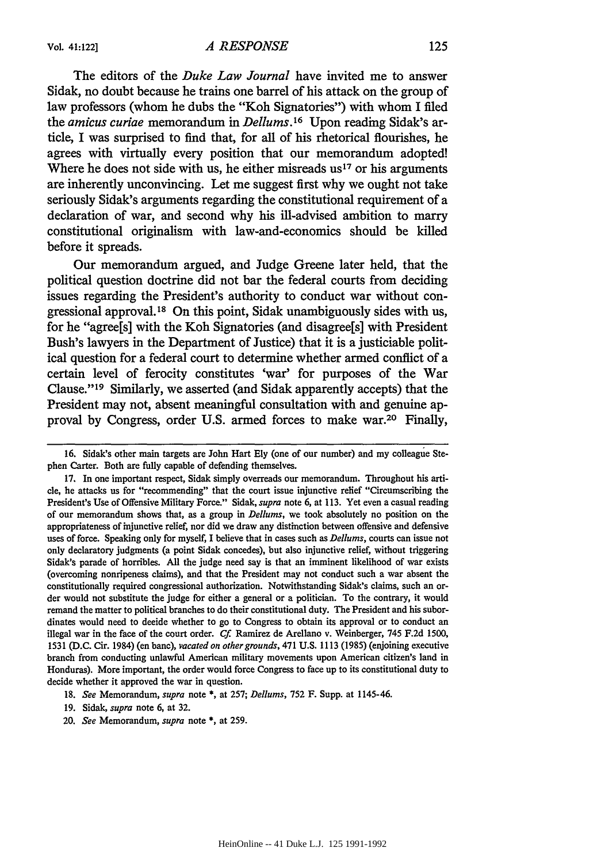The editors of the *Duke Law Journal* have invited me to answer Sidak, no doubt because he trains one barrel of his attack on the group of law professors (whom he dubs the "Koh Signatories") with whom I filed the *amicus curiae* memorandum in *Dellums.16* Upon reading Sidak's article, I was surprised to find that, for all of his rhetorical flourishes, he agrees with virtually every position that our memorandum adopted! Where he does not side with us, he either misreads  $us<sup>17</sup>$  or his arguments are inherently unconvincing. Let me suggest first why we ought not take seriously Sidak's arguments regarding the constitutional requirement of a declaration of war, and second why his ill-advised ambition to marry constitutional originalism with law-and-economics should be killed before it spreads.

Our memorandum argued, and Judge Greene later held, that the political question doctrine did not bar the federal courts from deciding issues regarding the President's authority to conduct war without congressional approval.18 On this point, Sidak unambiguously sides with us, for he "agree[s] with the Koh Signatories (and disagree[s] with President Bush's lawyers in the Department of Justice) that it is a justiciable political question for a federal court to determine whether armed conflict of a certain level of ferocity constitutes 'war' for purposes of the War Clause." 19 Similarly, we asserted (and Sidak apparently accepts) that the President may not, absent meaningful consultation with and genuine approval **by** Congress, order **U.S.** armed forces to make war.20 Finally,

20. *See* Memorandum, *supra* note \*, at 259.

<sup>16.</sup> Sidak's other main targets are John Hart Ely (one of our number) and my colleague Stephen Carter. Both are fully capable of defending themselves.

<sup>17.</sup> In one important respect, Sidak simply overreads our memorandum. Throughout his article, he attacks us for "recommending" that the court issue injunctive relief "Circumscribing the President's Use of Offensive Military Force." Sidak, *supra* note 6, at 113. Yet even a casual reading of our memorandum shows that, as a group in *Dellums,* we took absolutely no position on the appropriateness of injunctive relief, nor did we draw any distinction between offensive and defensive uses of force. Speaking only for myself, I believe that in cases such as *Dellums,* courts can issue not only declaratory judgments (a point Sidak concedes), but also injunctive relief, without triggering Sidak's parade of horribles. All the judge need say is that an imminent likelihood of war exists (overcoming nonripeness claims), and that the President may not conduct such a war absent the constitutionally required congressional authorization. Notwithstanding Sidak's claims, such an order would not substitute the judge for either a general or a politician. To the contrary, it would remand the matter to political branches to do their constitutional duty. The President and his subordinates would need to decide whether to go to Congress to obtain its approval or to conduct an illegal war in the face of the court order. *Cf* Ramirez de Arellano v. Weinberger, 745 F.2d 1500, 1531 (D.C. Cir. 1984) (en bane), *vacated on other grounds,* 471 U.S. 1113 (1985) (enjoining executive branch from conducting unlawful American military movements upon American citizen's land in Honduras). More important, the order would force Congress to face up to its constitutional duty to decide whether it approved the war in question.

<sup>18.</sup> *See* Memorandum, *supra* note \*, at 257; *Dellums,* 752 F. Supp. at 1145-46.

<sup>19.</sup> Sidak, *supra* note 6, at 32.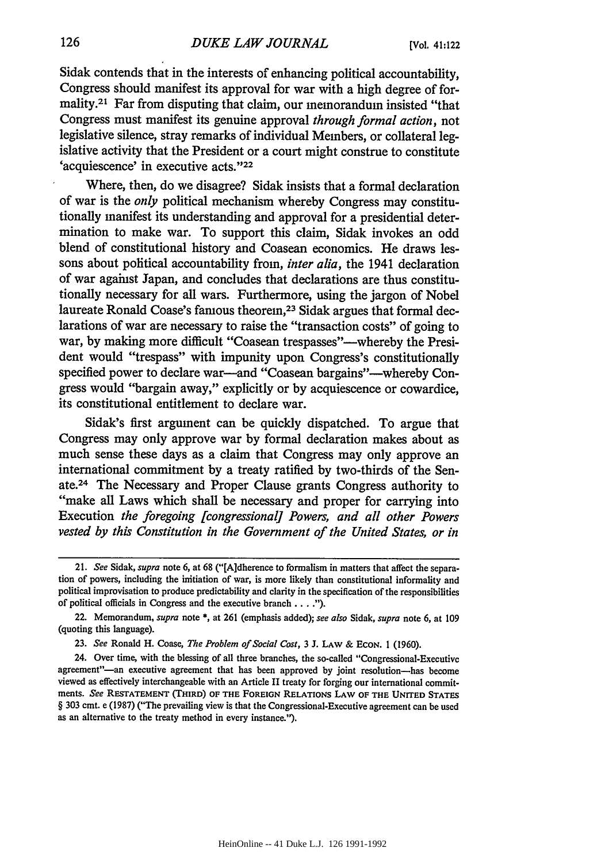## *DUKE LAW JOURNAL*

Sidak contends that in the interests of enhancing political accountability, Congress should manifest its approval for war with a high degree of formality.21 Far from disputing that claim, our memorandum insisted "that Congress must manifest its genuine approval *through formal action,* not legislative silence, stray remarks of individual Members, or collateral legislative activity that the President or a court might construe to constitute 'acquiescence' in executive acts."22

Where, then, do we disagree? Sidak insists that a formal declaration of war is the *only* political mechanism whereby Congress may constitutionally manifest its understanding and approval for a presidential determination to make war. To support this claim, Sidak invokes an odd blend of constitutional history and Coasean economics. He draws lessons about political accountability from, *inter alia,* the 1941 declaration of war against Japan, and concludes that declarations are thus constitutionally necessary for all wars. Furthermore, using the jargon of Nobel laureate Ronald Coase's famous theorem,<sup>23</sup> Sidak argues that formal declarations of war are necessary to raise the "transaction costs" of going to war, by making more difficult "Coasean trespasses"—whereby the President would "trespass" with impunity upon Congress's constitutionally specified power to declare war-and "Coasean bargains"-whereby Congress would "bargain away," explicitly or by acquiescence or cowardice, its constitutional entitlement to declare war.

Sidak's first argument can be quickly dispatched. To argue that Congress may only approve war by formal declaration makes about as much sense these days as a claim that Congress may only approve an international commitment by a treaty ratified by two-thirds of the Senate.24 The Necessary and Proper Clause grants Congress authority to "make all Laws which shall be necessary and proper for carrying into Execution *the foregoing [congressional] Powers, and all other Powers vested by this Constitution in the Government of the United States, or in*

<sup>21.</sup> *See* Sidak, *supra* note 6, at 68 ("[A]dherence to formalism in matters that affect the separation of powers, including the initiation of war, is more likely than constitutional informality and political improvisation to produce predictability and clarity in the specification of the responsibilities of political officials in Congress and the executive branch **....").**

<sup>22.</sup> Memorandum, *supra* note **\*,** at 261 (emphasis added); *see also* Sidak, *supra* note 6, at 109 (quoting this language).

<sup>23.</sup> *See* Ronald H. Coase, *The Problem of Social Cost,* 3 J. LAW **&** ECON. 1 (1960).

<sup>24.</sup> Over time, with the blessing of all three branches, the so-called "Congressional-Executive agreement"-an executive agreement that has been approved by joint resolution-has become viewed as effectively interchangeable with an Article II treaty for forging our international commitments. See **RESTATEMENT (THIRD) OF THE FOREIGN RELATIONS** LAW **OF THE UNITED STATES** § **303** cmt. e **(1987)** ("The prevailing view is that the Congressional-Executive agreement can be used as an alternative to the treaty method in every instance.").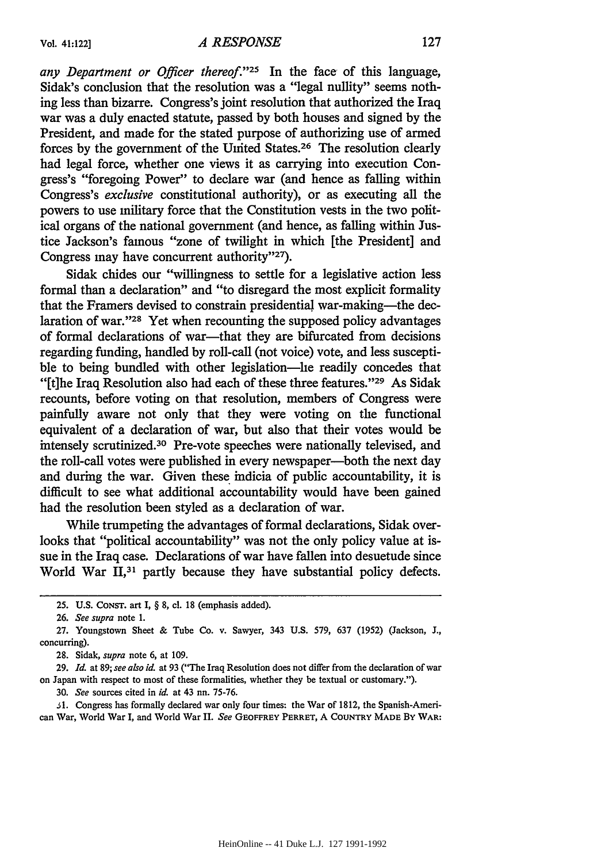any *Department or Officer thereof.*"<sup>25</sup> In the face of this language, Sidak's conclusion that the resolution was a "legal nullity" seems nothing less than bizarre. Congress's joint resolution that authorized the Iraq war was a duly enacted statute, passed by both houses and signed by the President, and made for the stated purpose of authorizing use of armed forces by the government of the United States.26 The resolution clearly had legal force, whether one views it as carrying into execution Congress's "foregoing Power" to declare war (and hence as falling within Congress's *exclusive* constitutional authority), or as executing all the powers to use military force that the Constitution vests in the two political organs of the national government (and hence, as falling within Justice Jackson's famous "zone of twilight in which [the President] and Congress may have concurrent authority"27).

Sidak chides our "willingness to settle for a legislative action less formal than a declaration" and "to disregard the most explicit formality that the Framers devised to constrain presidential war-making-the declaration of war."<sup>28</sup> Yet when recounting the supposed policy advantages of formal declarations of war-that they are bifurcated from decisions regarding funding, handled by roll-call (not voice) vote, and less susceptible to being bundled with other legislation—lie readily concedes that "[t]he Iraq Resolution also had each of these three features."'29 As Sidak recounts, before voting on that resolution, members of Congress were painfully aware not only that they were voting on the functional equivalent of a declaration of war, but also that their votes would be intensely scrutinized. 30 Pre-vote speeches were nationally televised, and the roll-call votes were published in every newspaper—both the next day and during the war. Given these indicia of public accountability, it is difficult to see what additional accountability would have been gained had the resolution been styled as a declaration of war.

While trumpeting the advantages of formal declarations, Sidak overlooks that "political accountability" was not the only policy value at issue in the Iraq case. Declarations of war have fallen into desuetude since World War II,<sup>31</sup> partly because they have substantial policy defects.

30. *See* sources cited in *id.* at 43 nn. 75-76.

**1** . Congress has formally declared war only four times: the War of 1812, the Spanish-American War, World War I, and World War *II. See* **GEOFFREY PERRET,** A **COUNTRY MADE BY WAR:**

**<sup>25.</sup> U.S.** CONST. art I, § **8, cl.** 18 (emphasis added).

<sup>26.</sup> *See supra* note 1.

<sup>27.</sup> Youngstown Sheet & Tube Co. v. Sawyer, 343 U.S. 579, 637 (1952) (Jackson, J., concurring).

**<sup>28.</sup>** Sidak, *supra* note 6, at 109.

<sup>29.</sup> *Id.* at 89; *see also id.* at 93 ("The Iraq Resolution does not differ from the declaration of war on Japan with respect to most of these formalities, whether they be textual or customary.").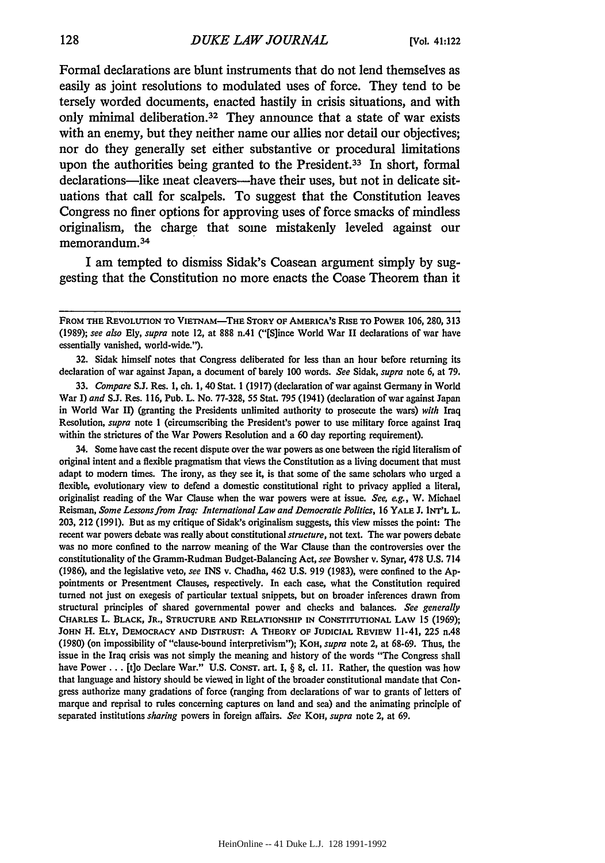Formal declarations are blunt instruments that do not lend themselves as easily as joint resolutions to modulated uses of force. They tend to be tersely worded documents, enacted hastily in crisis situations, and with only minimal deliberation.<sup>32</sup> They announce that a state of war exists with an enemy, but they neither name our allies nor detail our objectives; nor do they generally set either substantive or procedural limitations upon the authorities being granted to the President.<sup>33</sup> In short, formal declarations—like meat cleavers—have their uses, but not in delicate situations that call for scalpels. To suggest that the Constitution leaves Congress no finer options for approving uses of force smacks of mindless originalism, the charge that some mistakenly leveled against our memorandum. <sup>34</sup>

I am tempted to dismiss Sidak's Coasean argument simply **by** suggesting that the Constitution no more enacts the Coase Theorem than it

**32.** Sidak himself notes that Congress deliberated for less than an hour before returning its declaration of war against Japan, a document of barely **100** words. *See* Sidak, *supra* note **6,** at **79.**

**33.** *Compare* **S.J.** Res. **1,** ch. **1,** 40 Stat. **1 (1917)** (declaration of war against Germany in World War **I)** *and* **S.J.** Res. 116, Pub. L. No. **77-328,** 55 Stat. **795** (1941) (declaration of war against Japan in World War **II)** (granting the Presidents unlimited authority to prosecute the wars) *with* Iraq Resolution, *supra* note 1 (circumscribing the President's power to use military force against Iraq within the strictures of the War Powers Resolution and a **60** day reporting requirement).

34. Some have cast the recent dispute over the war powers as one between the rigid literalism of original intent and a flexible pragmatism that views the Constitution as a living document that must adapt to modern times. The irony, as they see it, is that some of the same scholars who urged a flexible, evolutionary view to defend a domestic constitutional right to privacy applied a literal, originalist reading of the War Clause when the war powers were at issue. *See, e.g.,* W. Michael Reisman, *Some Lessons from Iraq: International Law and Democratic Politics,* **16 YALE J. INT'L** L. **203,** 212 **(1991).** But as my critique of Sidak's originalism suggests, this view misses the point: The recent war powers debate was really about constitutional *structure,* not text. The war powers debate was no more confined to the narrow meaning of the War Clause than the controversies over the constitutionality of the Gramm-Rudman Budget-Balancing Act, *see* Bowsher v. Synar, 478 **U.S.** 714 **(1986),** and the legislative veto, *see* INS v. Chadha, 462 **U.S. 919** (1983), were confined to the **Ap**pointments or Presentment Clauses, respectively. In each case, what the Constitution required turned not just on exegesis of particular textual snippets, but on broader inferences drawn from structural principles of shared governmental power and checks and balances. *See generally* CHARLES L. BLACK, **JR.,** STRUCTURE **AND** RELATIONSHIP **IN CONSTITUTIONAL** LAW 15 (1969); **JOHN** H. **ELY,** DEMOCRACY **AND** DISTRUST: A THEORY **OF JUDICIAL** REVIEW 11-41, 225 n.48 (1980) (on impossibility of "clause-bound interpretivism"); **KOH,** *supra* note 2, at 68-69. Thus, the issue in the Iraq crisis was not simply the meaning and history of the words "The Congress shall have Power **...** [t]o Declare War." U.S. CONT. art. I, § *8,* cl. **11.** Rather, the question was how that language and history should be viewed in light of the broader constitutional mandate that Congress authorize many gradations of force (ranging from declarations of war to grants of letters of marque and reprisal to rules concerning captures on land and sea) and the animating principle of separated institutions *sharing* powers in foreign affairs. *See KOH, supra* note 2, at 69.

**FROM THE REVOLUTION TO VIETNAM-THE STORY OF AMERICA'S RISE TO POWER 106, 280,** 313 **(1989);** *see also* Ely, *supra* note 12, at 888 n.41 ("[S]ince World War II declarations of war have essentially vanished, world-wide.").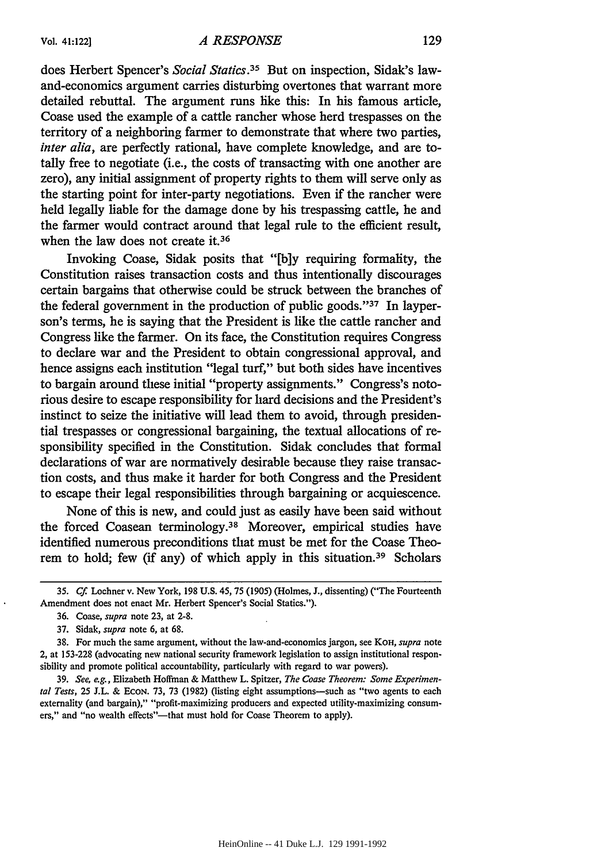does Herbert Spencer's *Social Statics.35* But on inspection, Sidak's lawand-economics argument carries disturbing overtones that warrant more detailed rebuttal. The argument runs like this: In his famous article, Coase used the example of a cattle rancher whose herd trespasses on the territory of a neighboring farmer to demonstrate that where two parties, *inter alia,* are perfectly rational, have complete knowledge, and are totally free to negotiate (i.e., the costs of transacting with one another are zero), any initial assignment of property rights to them will serve only as the starting point for inter-party negotiations. Even if the rancher were held legally liable for the damage done by his trespassing cattle, he and the farmer would contract around that legal rule to the efficient result, when the law does not create it.36

Invoking Coase, Sidak posits that "[b]y requiring formality, the Constitution raises transaction costs and thus intentionally discourages certain bargains that otherwise could be struck between the branches of the federal government in the production of public goods." $37$  In layperson's terms, he is saying that the President is like the cattle rancher and Congress like the farmer. On its face, the Constitution requires Congress to declare war and the President to obtain congressional approval, and hence assigns each institution "legal turf," but both sides have incentives to bargain around these initial "property assignments." Congress's notorious desire to escape responsibility for hard decisions and the President's instinct to seize the initiative will lead them to avoid, through presidential trespasses or congressional bargaining, the textual allocations of responsibility specified in the Constitution. Sidak concludes that formal declarations of war are normatively desirable because they raise transaction costs, and thus make it harder for both Congress and the President to escape their legal responsibilities through bargaining or acquiescence.

None of this is new, and could just as easily have been said without the forced Coasean terminology.<sup>38</sup> Moreover, empirical studies have identified numerous preconditions that must be met for the Coase Theorem to hold; few (if any) of which apply in this situation.<sup>39</sup> Scholars

<sup>35.</sup> *Cf* Lochner v. New York, 198 U.S. 45, 75 (1905) (Holmes, L, dissenting) ("The Fourteenth Amendment does not enact Mr. Herbert Spencer's Social Statics.").

<sup>36.</sup> Coase, *supra* note 23, at **2-8.**

<sup>37.</sup> Sidak, *supra* note 6, at 68.

<sup>38.</sup> For much the same argument, without the law-and-economics jargon, see KOH, *supra* note 2, at 153-228 (advocating new national security framework legislation to assign institutional responsibility and promote political accountability, particularly with regard to war powers).

<sup>39.</sup> *See, e.g.,* Elizabeth Hoffman & Matthew L. Spitzer, *The Coase Theorem: Some Experimen*tal Tests, 25 J.L. & ECON. 73, 73 (1982) (listing eight assumptions-such as "two agents to each externality (and bargain)," "profit-maximizing producers and expected utility-maximizing consumers," and "no wealth effects"---that must hold for Coase Theorem to apply).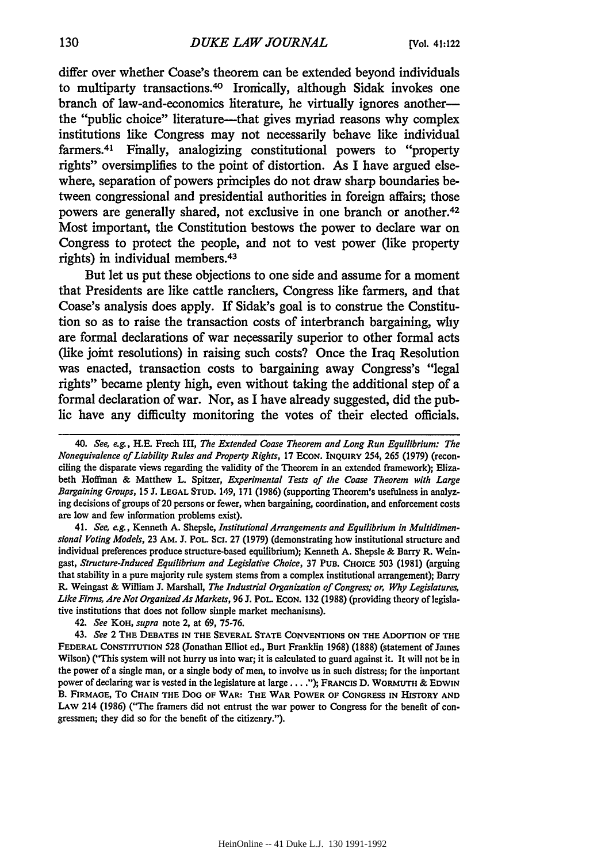differ over whether Coase's theorem can be extended beyond individuals to multiparty transactions.4° Ironically, although Sidak invokes one branch of law-and-economics literature, he virtually ignores anotherthe "public choice" literature—that gives myriad reasons why complex institutions like Congress may not necessarily behave like individual farmers.41 Finally, analogizing constitutional powers to "property rights" oversimplifies to the point of distortion. As I have argued elsewhere, separation of powers principles do not draw sharp boundaries between congressional and presidential authorities in foreign affairs; those powers are generally shared, not exclusive in one branch or another.<sup>42</sup> Most important, the Constitution bestows the power to declare war on Congress to protect the people, and not to vest power (like property rights) in individual members.<sup>43</sup>

But let us put these objections to one side and assume for a moment that Presidents are like cattle ranchers, Congress like farmers, and that Coase's analysis does apply. If Sidak's goal is to construe the Constitution so as to raise the transaction costs of interbranch bargaining, why are formal declarations of war necessarily superior to other formal acts (like joint resolutions) in raising such costs? Once the Iraq Resolution was enacted, transaction costs to bargaining away Congress's "legal rights" became plenty high, even without taking the additional step of a formal declaration of war. Nor, as I have already suggested, did the public have any difficulty monitoring the votes of their elected officials.

41. *See, eg.,* Kenneth A. Shepsle, *Institutional Arrangements and Equilibrium in Multidimen*sional Voting Models, 23 AM. J. POL. SCI. 27 (1979) (demonstrating how institutional structure and individual preferences produce structure-based equilibrium); Kenneth A. Shepsle & Barry R. Weingast, *Structure-Induced Equilibrium and Legislative Choice,* 37 **PUB. CHOICE** 503 (1981) (arguing that stability in a pure majority rule system stems from a complex institutional arrangement); Barry R. Weingast & William **J.** Marshall, *The Industrial Organization of Congress; or, Why Legislatures, Like Firms, Are Not Organized As Markets,* 96 J. POL. ECON. 132 (1988) (providing theory of legislative institutions that does not follow simple market mechanisms).

42. *See* KOH, *supra* note 2, at 69, 75-76.

43. *See* 2 THE **DEBATES IN THE SEVERAL STATE CONVENTIONS ON THE ADOPTION OF THE FEDERAL CONSTITUTION 528** (Jonathan Elliot ed., Burt Franklin **1968)** (1888) (statement of James Wilson) ("This system will not hurry us into war; it is calculated to guard against it. It will not be in the power of a single man, or a single body of men, to involve us in such distress; for the important power of declaring war is vested in the legislature at large...."); **FRANCIS D. WORMUTH** & **EDWIN** B. **FIRMAGE,** To **CHAIN THE** *DOG* **OF WAR: THE WAR POWER** *OF* **CONGRESS IN HISTORY AND LAW** 214 **(1986)** ("The framers did not entrust the war power to Congress for the benefit of congressmen; they did so for the benefit of the citizenry.").

*<sup>40.</sup> See, e.g.,* **H.E.** Frech III, *The Extended Coase Theorem and Long Run Equilibrium: The Nonequivalence of Liability Rules and Property Rights,* 17 ECON. **INQUIRY** 254, 265 (1979) (reconciling the disparate views regarding the validity of the Theorem in an extended framework); Elizabeth Hoffman & Matthew L. Spitzer, *Experimental Tests of the Coase Theorem with Large Bargaining Groups,* 15 **J. LEGAL STUD.** 149, 171 (1986) (supporting Theorem's usefulness in analyzing decisions of groups of 20 persons or fewer, when bargaining, coordination, and enforcement costs are low and few information problems exist).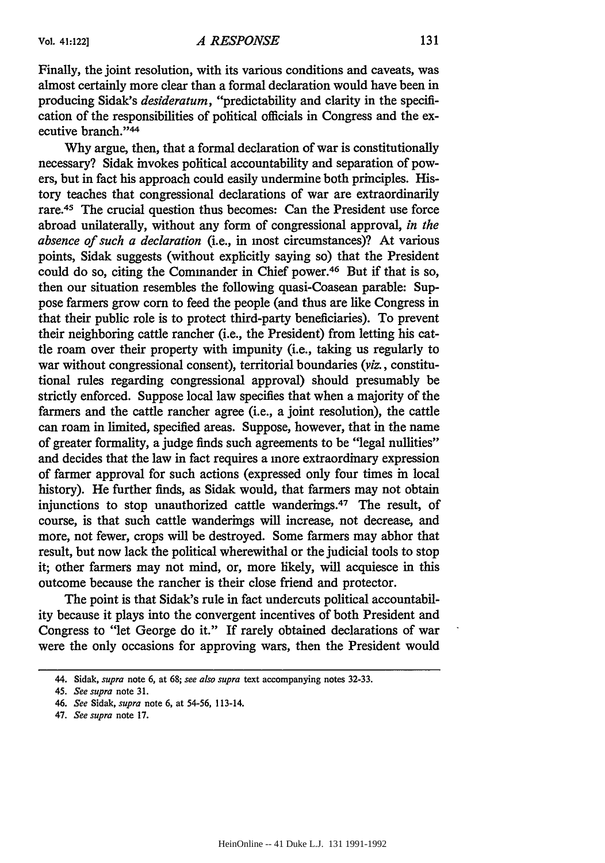Finally, the joint resolution, with its various conditions and caveats, was almost certainly more clear than a formal declaration would have been in producing Sidak's *desideratum,* "predictability and clarity in the specification of the responsibilities of political officials in Congress and the executive branch."44

Why argue, then, that a formal declaration of war is constitutionally necessary? Sidak invokes political accountability and separation of powers, but in fact his approach could easily undermine both principles. History teaches that congressional declarations of war are extraordinarily rare.<sup>45</sup> The crucial question thus becomes: Can the President use force abroad unilaterally, without any form of congressional approval, *in the absence of such a declaration* (i.e., in most circumstances)? At various points, Sidak suggests (without explicitly saying so) that the President could do so, citing the Commander in Chief power.46 But if that is so, then our situation resembles the following quasi-Coasean parable: Suppose farmers grow corn to feed the people (and thus are like Congress in that their public role is to protect third-party beneficiaries). To prevent their neighboring cattle rancher (i.e., the President) from letting his cattle roam over their property with impunity (i.e., taking us regularly to war without congressional consent), territorial boundaries *(viz.,* constitutional rules regarding congressional approval) should presumably be strictly enforced. Suppose local law specifies that when a majority of the farmers and the cattle rancher agree (i.e., a joint resolution), the cattle can roam in limited, specified areas. Suppose, however, that in the name of greater formality, a judge finds such agreements to be "legal nullities" and decides that the law in fact requires a more extraordinary expression of farmer approval for such actions (expressed only four times in local history). He further finds, as Sidak would, that farmers may not obtain injunctions to stop unauthorized cattle wanderings.<sup>47</sup> The result, of course, is that such cattle wanderings will increase, not decrease, and more, not fewer, crops will be destroyed. Some farmers may abhor that result, but now lack the political wherewithal or the judicial tools to stop it; other farmers may not mind, or, more likely, will acquiesce in this outcome because the rancher is their close friend and protector.

The point is that Sidak's rule in fact undercuts political accountability because it plays into the convergent incentives of both President and Congress to "let George do it." If rarely obtained declarations of war were the only occasions for approving wars, then the President would

<sup>44.</sup> Sidak, *supra* note **6,** at **68;** *see also supra* text accompanying notes **32-33.**

<sup>45.</sup> *See supra* note **31.**

<sup>46.</sup> *See* Sidak, *supra* note **6,** at 54-56, 113-14.

<sup>47.</sup> *See supra* note **17.**